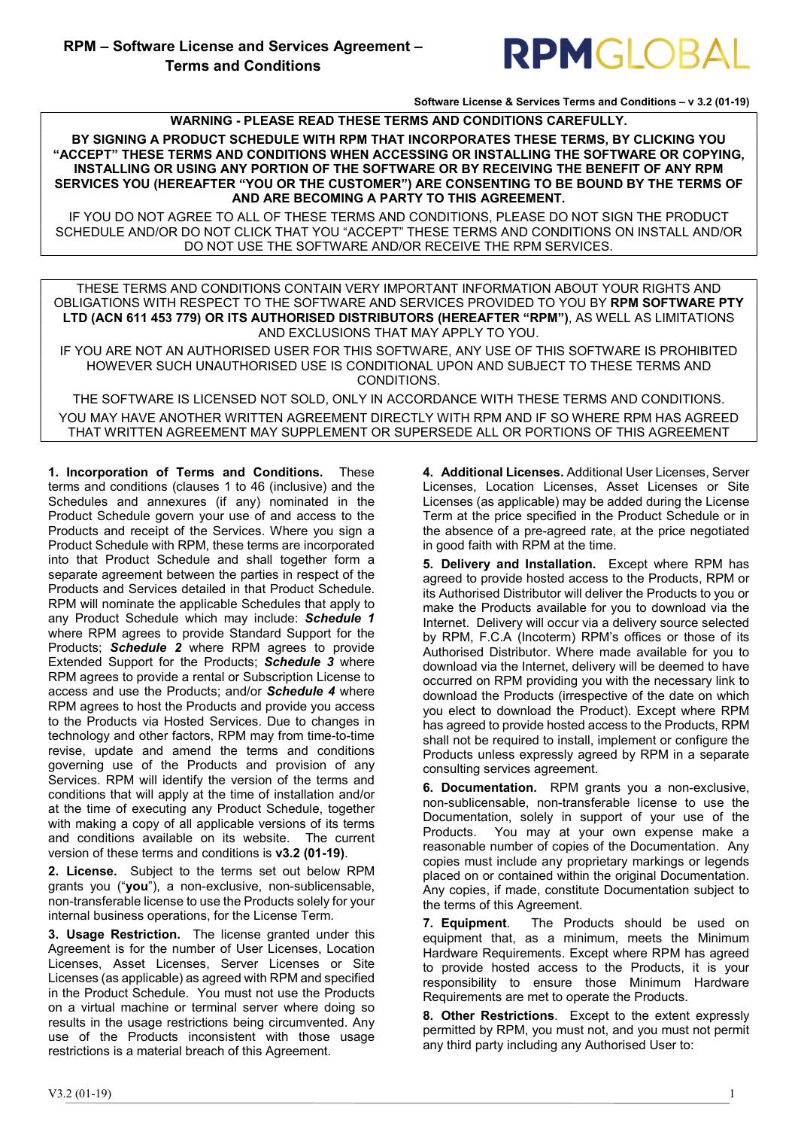

Software License & Services Terms and Conditions – v 3.2 (01-19)

WARNING - PLEASE READ THESE TERMS AND CONDITIONS CAREFULLY.

BY SIGNING A PRODUCT SCHEDULE WITH RPM THAT INCORPORATES THESE TERMS, BY CLICKING YOU "ACCEPT" THESE TERMS AND CONDITIONS WHEN ACCESSING OR INSTALLING THE SOFTWARE OR COPYING, INSTALLING OR USING ANY PORTION OF THE SOFTWARE OR BY RECEIVING THE BENEFIT OF ANY RPM SERVICES YOU (HEREAFTER "YOU OR THE CUSTOMER") ARE CONSENTING TO BE BOUND BY THE TERMS OF AND ARE BECOMING A PARTY TO THIS AGREEMENT.

IF YOU DO NOT AGREE TO ALL OF THESE TERMS AND CONDITIONS, PLEASE DO NOT SIGN THE PRODUCT SCHEDULE AND/OR DO NOT CLICK THAT YOU "ACCEPT" THESE TERMS AND CONDITIONS ON INSTALL AND/OR DO NOT USE THE SOFTWARE AND/OR RECEIVE THE RPM SERVICES.

THESE TERMS AND CONDITIONS CONTAIN VERY IMPORTANT INFORMATION ABOUT YOUR RIGHTS AND OBLIGATIONS WITH RESPECT TO THE SOFTWARE AND SERVICES PROVIDED TO YOU BY RPM SOFTWARE PTY LTD (ACN 611 453 779) OR ITS AUTHORISED DISTRIBUTORS (HEREAFTER "RPM"), AS WELL AS LIMITATIONS AND EXCLUSIONS THAT MAY APPLY TO YOU.

IF YOU ARE NOT AN AUTHORISED USER FOR THIS SOFTWARE, ANY USE OF THIS SOFTWARE IS PROHIBITED HOWEVER SUCH UNAUTHORISED USE IS CONDITIONAL UPON AND SUBJECT TO THESE TERMS AND CONDITIONS.

THE SOFTWARE IS LICENSED NOT SOLD, ONLY IN ACCORDANCE WITH THESE TERMS AND CONDITIONS. YOU MAY HAVE ANOTHER WRITTEN AGREEMENT DIRECTLY WITH RPM AND IF SO WHERE RPM HAS AGREED THAT WRITTEN AGREEMENT MAY SUPPLEMENT OR SUPERSEDE ALL OR PORTIONS OF THIS AGREEMENT

1. Incorporation of Terms and Conditions. These terms and conditions (clauses 1 to 46 (inclusive) and the Schedules and annexures (if any) nominated in the Product Schedule govern your use of and access to the Products and receipt of the Services. Where you sign a Product Schedule with RPM, these terms are incorporated into that Product Schedule and shall together form a separate agreement between the parties in respect of the Products and Services detailed in that Product Schedule. RPM will nominate the applicable Schedules that apply to any Product Schedule which may include: Schedule 1 where RPM agrees to provide Standard Support for the Products; Schedule 2 where RPM agrees to provide Extended Support for the Products; Schedule 3 where RPM agrees to provide a rental or Subscription License to access and use the Products; and/or Schedule 4 where RPM agrees to host the Products and provide you access to the Products via Hosted Services. Due to changes in technology and other factors, RPM may from time-to-time revise, update and amend the terms and conditions governing use of the Products and provision of any Services. RPM will identify the version of the terms and conditions that will apply at the time of installation and/or at the time of executing any Product Schedule, together with making a copy of all applicable versions of its terms and conditions available on its website. The current version of these terms and conditions is v3.2 (01-19).

2. License. Subject to the terms set out below RPM grants you ("you"), a non-exclusive, non-sublicensable, non-transferable license to use the Products solely for your internal business operations, for the License Term.

3. Usage Restriction. The license granted under this Agreement is for the number of User Licenses, Location Licenses, Asset Licenses, Server Licenses or Site Licenses (as applicable) as agreed with RPM and specified in the Product Schedule. You must not use the Products on a virtual machine or terminal server where doing so results in the usage restrictions being circumvented. Any use of the Products inconsistent with those usage restrictions is a material breach of this Agreement.

4. Additional Licenses. Additional User Licenses, Server Licenses, Location Licenses, Asset Licenses or Site Licenses (as applicable) may be added during the License Term at the price specified in the Product Schedule or in the absence of a pre-agreed rate, at the price negotiated in good faith with RPM at the time.

5. Delivery and Installation. Except where RPM has agreed to provide hosted access to the Products, RPM or its Authorised Distributor will deliver the Products to you or make the Products available for you to download via the Internet. Delivery will occur via a delivery source selected by RPM, F.C.A (Incoterm) RPM's offices or those of its Authorised Distributor. Where made available for you to download via the Internet, delivery will be deemed to have occurred on RPM providing you with the necessary link to download the Products (irrespective of the date on which you elect to download the Product). Except where RPM has agreed to provide hosted access to the Products, RPM shall not be required to install, implement or configure the Products unless expressly agreed by RPM in a separate consulting services agreement.

6. Documentation. RPM grants you a non-exclusive, non-sublicensable, non-transferable license to use the Documentation, solely in support of your use of the Products. You may at your own expense make a reasonable number of copies of the Documentation. Any copies must include any proprietary markings or legends placed on or contained within the original Documentation. Any copies, if made, constitute Documentation subject to the terms of this Agreement.

7. Equipment. The Products should be used on equipment that, as a minimum, meets the Minimum Hardware Requirements. Except where RPM has agreed to provide hosted access to the Products, it is your responsibility to ensure those Minimum Hardware Requirements are met to operate the Products.

8. Other Restrictions. Except to the extent expressly permitted by RPM, you must not, and you must not permit any third party including any Authorised User to: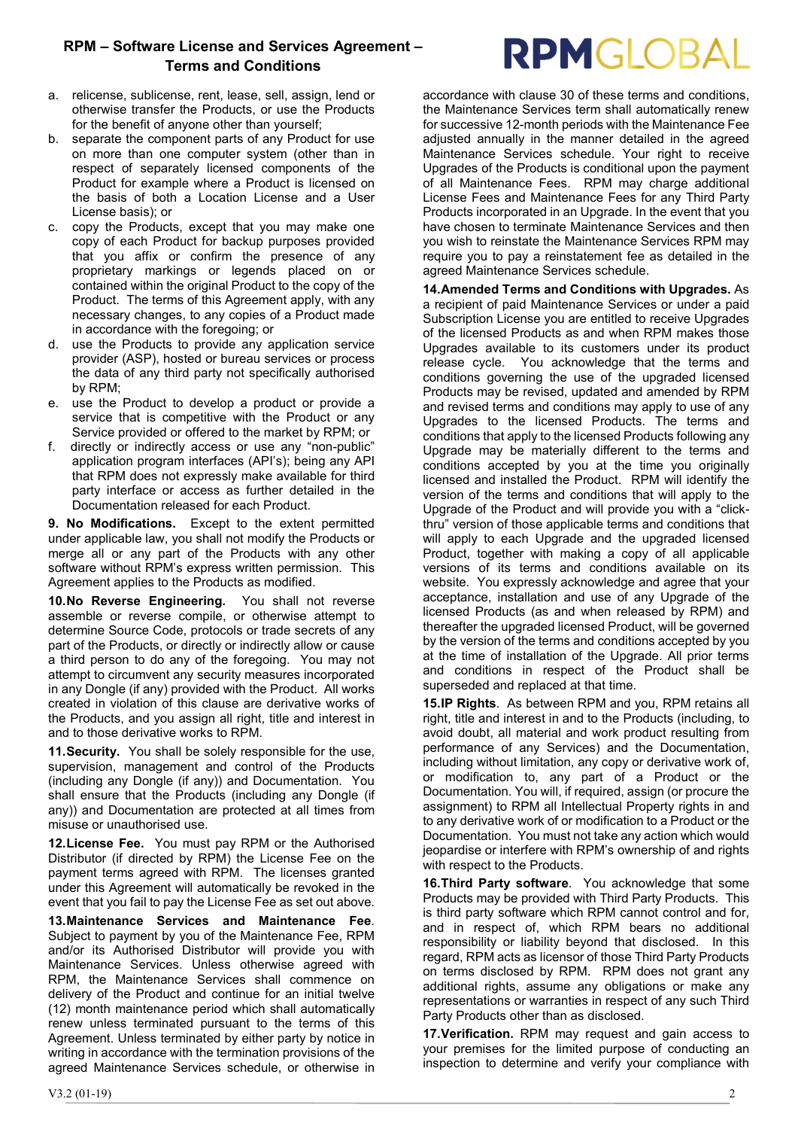- a. relicense, sublicense, rent, lease, sell, assign, lend or otherwise transfer the Products, or use the Products for the benefit of anyone other than yourself;
- b. separate the component parts of any Product for use on more than one computer system (other than in respect of separately licensed components of the Product for example where a Product is licensed on the basis of both a Location License and a User License basis); or
- c. copy the Products, except that you may make one copy of each Product for backup purposes provided that you affix or confirm the presence of any proprietary markings or legends placed on or contained within the original Product to the copy of the Product. The terms of this Agreement apply, with any necessary changes, to any copies of a Product made in accordance with the foregoing; or
- d. use the Products to provide any application service provider (ASP), hosted or bureau services or process the data of any third party not specifically authorised by RPM;
- e. use the Product to develop a product or provide a service that is competitive with the Product or any Service provided or offered to the market by RPM; or
- f. directly or indirectly access or use any "non-public" application program interfaces (API's); being any API that RPM does not expressly make available for third party interface or access as further detailed in the Documentation released for each Product.

9. No Modifications. Except to the extent permitted under applicable law, you shall not modify the Products or merge all or any part of the Products with any other software without RPM's express written permission. This Agreement applies to the Products as modified.

10. No Reverse Engineering. You shall not reverse assemble or reverse compile, or otherwise attempt to determine Source Code, protocols or trade secrets of any part of the Products, or directly or indirectly allow or cause a third person to do any of the foregoing. You may not attempt to circumvent any security measures incorporated in any Dongle (if any) provided with the Product. All works created in violation of this clause are derivative works of the Products, and you assign all right, title and interest in and to those derivative works to RPM.

11. Security. You shall be solely responsible for the use, supervision, management and control of the Products (including any Dongle (if any)) and Documentation. You shall ensure that the Products (including any Dongle (if any)) and Documentation are protected at all times from misuse or unauthorised use.

12. License Fee. You must pay RPM or the Authorised Distributor (if directed by RPM) the License Fee on the payment terms agreed with RPM. The licenses granted under this Agreement will automatically be revoked in the event that you fail to pay the License Fee as set out above.

13. Maintenance Services and Maintenance Fee. Subject to payment by you of the Maintenance Fee, RPM and/or its Authorised Distributor will provide you with Maintenance Services. Unless otherwise agreed with RPM, the Maintenance Services shall commence on delivery of the Product and continue for an initial twelve (12) month maintenance period which shall automatically renew unless terminated pursuant to the terms of this Agreement. Unless terminated by either party by notice in writing in accordance with the termination provisions of the agreed Maintenance Services schedule, or otherwise in accordance with clause 30 of these terms and conditions, the Maintenance Services term shall automatically renew for successive 12-month periods with the Maintenance Fee adjusted annually in the manner detailed in the agreed Maintenance Services schedule. Your right to receive Upgrades of the Products is conditional upon the payment of all Maintenance Fees. RPM may charge additional License Fees and Maintenance Fees for any Third Party Products incorporated in an Upgrade. In the event that you have chosen to terminate Maintenance Services and then you wish to reinstate the Maintenance Services RPM may require you to pay a reinstatement fee as detailed in the agreed Maintenance Services schedule.

14. Amended Terms and Conditions with Upgrades. As a recipient of paid Maintenance Services or under a paid Subscription License you are entitled to receive Upgrades of the licensed Products as and when RPM makes those Upgrades available to its customers under its product release cycle. You acknowledge that the terms and conditions governing the use of the upgraded licensed Products may be revised, updated and amended by RPM and revised terms and conditions may apply to use of any Upgrades to the licensed Products. The terms and conditions that apply to the licensed Products following any Upgrade may be materially different to the terms and conditions accepted by you at the time you originally licensed and installed the Product. RPM will identify the version of the terms and conditions that will apply to the Upgrade of the Product and will provide you with a "clickthru" version of those applicable terms and conditions that will apply to each Upgrade and the upgraded licensed Product, together with making a copy of all applicable versions of its terms and conditions available on its website. You expressly acknowledge and agree that your acceptance, installation and use of any Upgrade of the licensed Products (as and when released by RPM) and thereafter the upgraded licensed Product, will be governed by the version of the terms and conditions accepted by you at the time of installation of the Upgrade. All prior terms and conditions in respect of the Product shall be superseded and replaced at that time.

15. IP Rights. As between RPM and you, RPM retains all right, title and interest in and to the Products (including, to avoid doubt, all material and work product resulting from performance of any Services) and the Documentation, including without limitation, any copy or derivative work of, or modification to, any part of a Product or the Documentation. You will, if required, assign (or procure the assignment) to RPM all Intellectual Property rights in and to any derivative work of or modification to a Product or the Documentation. You must not take any action which would jeopardise or interfere with RPM's ownership of and rights with respect to the Products.

16. Third Party software. You acknowledge that some Products may be provided with Third Party Products. This is third party software which RPM cannot control and for, and in respect of, which RPM bears no additional responsibility or liability beyond that disclosed. In this regard, RPM acts as licensor of those Third Party Products on terms disclosed by RPM. RPM does not grant any additional rights, assume any obligations or make any representations or warranties in respect of any such Third Party Products other than as disclosed.

17. Verification. RPM may request and gain access to your premises for the limited purpose of conducting an inspection to determine and verify your compliance with

# **RPMGLOBAL**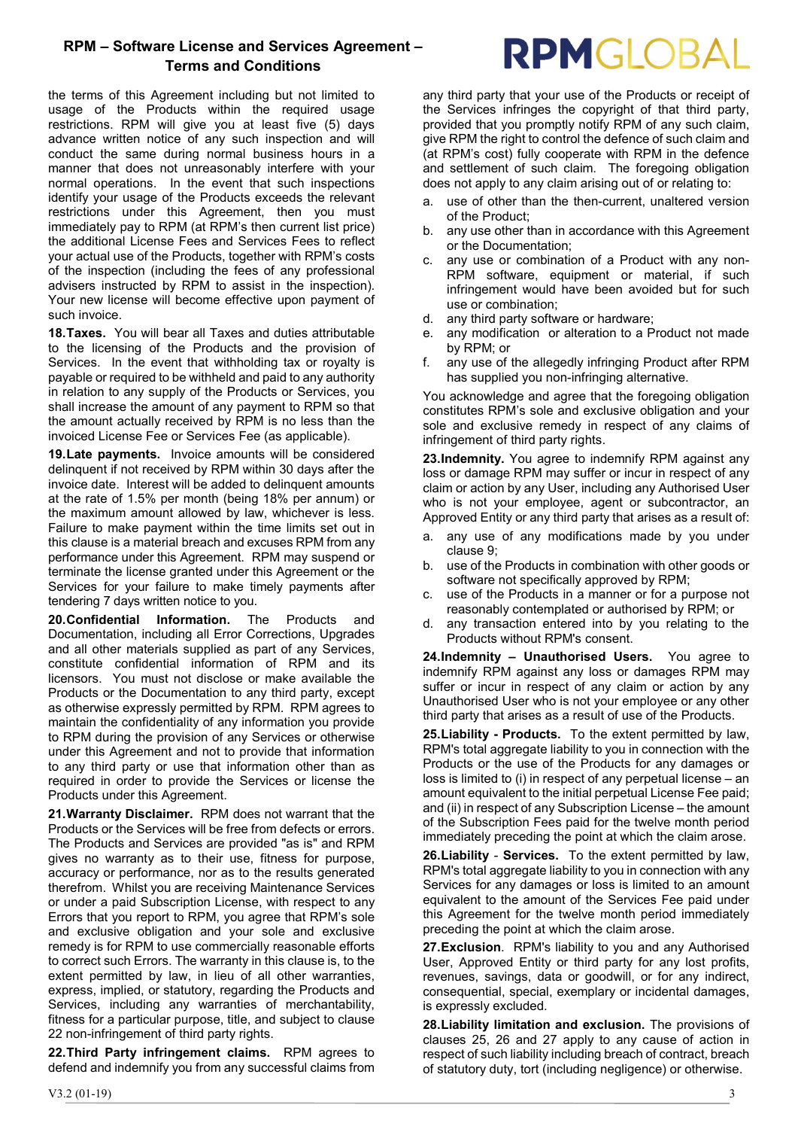the terms of this Agreement including but not limited to usage of the Products within the required usage restrictions. RPM will give you at least five (5) days advance written notice of any such inspection and will conduct the same during normal business hours in a manner that does not unreasonably interfere with your normal operations. In the event that such inspections identify your usage of the Products exceeds the relevant restrictions under this Agreement, then you must immediately pay to RPM (at RPM's then current list price) the additional License Fees and Services Fees to reflect your actual use of the Products, together with RPM's costs of the inspection (including the fees of any professional advisers instructed by RPM to assist in the inspection). Your new license will become effective upon payment of such invoice.

18. Taxes. You will bear all Taxes and duties attributable to the licensing of the Products and the provision of Services. In the event that withholding tax or royalty is payable or required to be withheld and paid to any authority in relation to any supply of the Products or Services, you shall increase the amount of any payment to RPM so that the amount actually received by RPM is no less than the invoiced License Fee or Services Fee (as applicable).

19. Late payments. Invoice amounts will be considered delinquent if not received by RPM within 30 days after the invoice date. Interest will be added to delinquent amounts at the rate of 1.5% per month (being 18% per annum) or the maximum amount allowed by law, whichever is less. Failure to make payment within the time limits set out in this clause is a material breach and excuses RPM from any performance under this Agreement. RPM may suspend or terminate the license granted under this Agreement or the Services for your failure to make timely payments after tendering 7 days written notice to you.

20. Confidential Information. The Products and Documentation, including all Error Corrections, Upgrades and all other materials supplied as part of any Services, constitute confidential information of RPM and its licensors. You must not disclose or make available the Products or the Documentation to any third party, except as otherwise expressly permitted by RPM. RPM agrees to maintain the confidentiality of any information you provide to RPM during the provision of any Services or otherwise under this Agreement and not to provide that information to any third party or use that information other than as required in order to provide the Services or license the Products under this Agreement.

21. Warranty Disclaimer. RPM does not warrant that the Products or the Services will be free from defects or errors. The Products and Services are provided "as is" and RPM gives no warranty as to their use, fitness for purpose, accuracy or performance, nor as to the results generated therefrom. Whilst you are receiving Maintenance Services or under a paid Subscription License, with respect to any Errors that you report to RPM, you agree that RPM's sole and exclusive obligation and your sole and exclusive remedy is for RPM to use commercially reasonable efforts to correct such Errors. The warranty in this clause is, to the extent permitted by law, in lieu of all other warranties, express, implied, or statutory, regarding the Products and Services, including any warranties of merchantability, fitness for a particular purpose, title, and subject to clause 22 non-infringement of third party rights.

22. Third Party infringement claims. RPM agrees to defend and indemnify you from any successful claims from any third party that your use of the Products or receipt of the Services infringes the copyright of that third party, provided that you promptly notify RPM of any such claim, give RPM the right to control the defence of such claim and (at RPM's cost) fully cooperate with RPM in the defence and settlement of such claim. The foregoing obligation does not apply to any claim arising out of or relating to:

- a. use of other than the then-current, unaltered version of the Product;
- b. any use other than in accordance with this Agreement or the Documentation;
- c. any use or combination of a Product with any non-RPM software, equipment or material, if such infringement would have been avoided but for such use or combination;
- d. any third party software or hardware;
- e. any modification or alteration to a Product not made by RPM; or
- f. any use of the allegedly infringing Product after RPM has supplied you non-infringing alternative.

You acknowledge and agree that the foregoing obligation constitutes RPM's sole and exclusive obligation and your sole and exclusive remedy in respect of any claims of infringement of third party rights.

23. Indemnity. You agree to indemnify RPM against any loss or damage RPM may suffer or incur in respect of any claim or action by any User, including any Authorised User who is not your employee, agent or subcontractor, an Approved Entity or any third party that arises as a result of:

- a. any use of any modifications made by you under clause 9;
- b. use of the Products in combination with other goods or software not specifically approved by RPM;
- c. use of the Products in a manner or for a purpose not reasonably contemplated or authorised by RPM; or
- d. any transaction entered into by you relating to the Products without RPM's consent.

24. Indemnity - Unauthorised Users. You agree to indemnify RPM against any loss or damages RPM may suffer or incur in respect of any claim or action by any Unauthorised User who is not your employee or any other third party that arises as a result of use of the Products.

25. Liability - Products. To the extent permitted by law, RPM's total aggregate liability to you in connection with the Products or the use of the Products for any damages or loss is limited to (i) in respect of any perpetual license – an amount equivalent to the initial perpetual License Fee paid; and (ii) in respect of any Subscription License – the amount of the Subscription Fees paid for the twelve month period immediately preceding the point at which the claim arose.

26. Liability - Services. To the extent permitted by law, RPM's total aggregate liability to you in connection with any Services for any damages or loss is limited to an amount equivalent to the amount of the Services Fee paid under this Agreement for the twelve month period immediately preceding the point at which the claim arose.

27. Exclusion. RPM's liability to you and any Authorised User, Approved Entity or third party for any lost profits, revenues, savings, data or goodwill, or for any indirect, consequential, special, exemplary or incidental damages, is expressly excluded.

28. Liability limitation and exclusion. The provisions of clauses 25, 26 and 27 apply to any cause of action in respect of such liability including breach of contract, breach of statutory duty, tort (including negligence) or otherwise.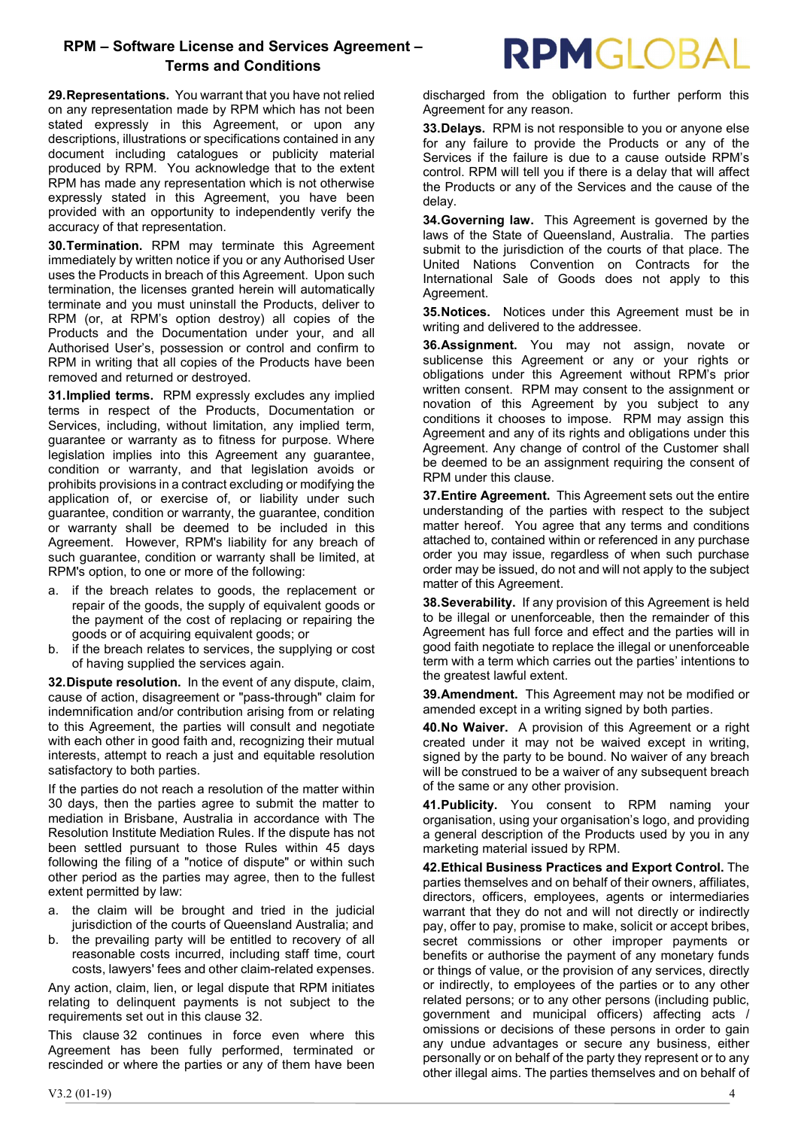29. Representations. You warrant that you have not relied on any representation made by RPM which has not been stated expressly in this Agreement, or upon any descriptions, illustrations or specifications contained in any document including catalogues or publicity material produced by RPM. You acknowledge that to the extent RPM has made any representation which is not otherwise expressly stated in this Agreement, you have been provided with an opportunity to independently verify the accuracy of that representation.

30. Termination. RPM may terminate this Agreement immediately by written notice if you or any Authorised User uses the Products in breach of this Agreement. Upon such termination, the licenses granted herein will automatically terminate and you must uninstall the Products, deliver to RPM (or, at RPM's option destroy) all copies of the Products and the Documentation under your, and all Authorised User's, possession or control and confirm to RPM in writing that all copies of the Products have been removed and returned or destroyed.

31. Implied terms. RPM expressly excludes any implied terms in respect of the Products, Documentation or Services, including, without limitation, any implied term, guarantee or warranty as to fitness for purpose. Where legislation implies into this Agreement any guarantee, condition or warranty, and that legislation avoids or prohibits provisions in a contract excluding or modifying the application of, or exercise of, or liability under such guarantee, condition or warranty, the guarantee, condition or warranty shall be deemed to be included in this Agreement. However, RPM's liability for any breach of such guarantee, condition or warranty shall be limited, at RPM's option, to one or more of the following:

- a. if the breach relates to goods, the replacement or repair of the goods, the supply of equivalent goods or the payment of the cost of replacing or repairing the goods or of acquiring equivalent goods; or
- b. if the breach relates to services, the supplying or cost of having supplied the services again.

32. Dispute resolution. In the event of any dispute, claim, cause of action, disagreement or "pass-through" claim for indemnification and/or contribution arising from or relating to this Agreement, the parties will consult and negotiate with each other in good faith and, recognizing their mutual interests, attempt to reach a just and equitable resolution satisfactory to both parties.

If the parties do not reach a resolution of the matter within 30 days, then the parties agree to submit the matter to mediation in Brisbane, Australia in accordance with The Resolution Institute Mediation Rules. If the dispute has not been settled pursuant to those Rules within 45 days following the filing of a "notice of dispute" or within such other period as the parties may agree, then to the fullest extent permitted by law:

- a. the claim will be brought and tried in the judicial jurisdiction of the courts of Queensland Australia; and
- the prevailing party will be entitled to recovery of all reasonable costs incurred, including staff time, court costs, lawyers' fees and other claim-related expenses.

Any action, claim, lien, or legal dispute that RPM initiates relating to delinquent payments is not subject to the requirements set out in this clause 32.

This clause 32 continues in force even where this Agreement has been fully performed, terminated or rescinded or where the parties or any of them have been discharged from the obligation to further perform this Agreement for any reason.

33. Delays. RPM is not responsible to you or anyone else for any failure to provide the Products or any of the Services if the failure is due to a cause outside RPM's control. RPM will tell you if there is a delay that will affect the Products or any of the Services and the cause of the delay.

34. Governing law. This Agreement is governed by the laws of the State of Queensland, Australia. The parties submit to the jurisdiction of the courts of that place. The United Nations Convention on Contracts for the International Sale of Goods does not apply to this Agreement.

35. Notices. Notices under this Agreement must be in writing and delivered to the addressee.

36. Assignment. You may not assign, novate or sublicense this Agreement or any or your rights or obligations under this Agreement without RPM's prior written consent. RPM may consent to the assignment or novation of this Agreement by you subject to any conditions it chooses to impose. RPM may assign this Agreement and any of its rights and obligations under this Agreement. Any change of control of the Customer shall be deemed to be an assignment requiring the consent of RPM under this clause.

37. Entire Agreement. This Agreement sets out the entire understanding of the parties with respect to the subject matter hereof. You agree that any terms and conditions attached to, contained within or referenced in any purchase order you may issue, regardless of when such purchase order may be issued, do not and will not apply to the subject matter of this Agreement.

38. Severability. If any provision of this Agreement is held to be illegal or unenforceable, then the remainder of this Agreement has full force and effect and the parties will in good faith negotiate to replace the illegal or unenforceable term with a term which carries out the parties' intentions to the greatest lawful extent.

39. Amendment. This Agreement may not be modified or amended except in a writing signed by both parties.

40. No Waiver. A provision of this Agreement or a right created under it may not be waived except in writing, signed by the party to be bound. No waiver of any breach will be construed to be a waiver of any subsequent breach of the same or any other provision.

41. Publicity. You consent to RPM naming your organisation, using your organisation's logo, and providing a general description of the Products used by you in any marketing material issued by RPM.

42. Ethical Business Practices and Export Control. The parties themselves and on behalf of their owners, affiliates, directors, officers, employees, agents or intermediaries warrant that they do not and will not directly or indirectly pay, offer to pay, promise to make, solicit or accept bribes, secret commissions or other improper payments or benefits or authorise the payment of any monetary funds or things of value, or the provision of any services, directly or indirectly, to employees of the parties or to any other related persons; or to any other persons (including public, government and municipal officers) affecting acts / omissions or decisions of these persons in order to gain any undue advantages or secure any business, either personally or on behalf of the party they represent or to any other illegal aims. The parties themselves and on behalf of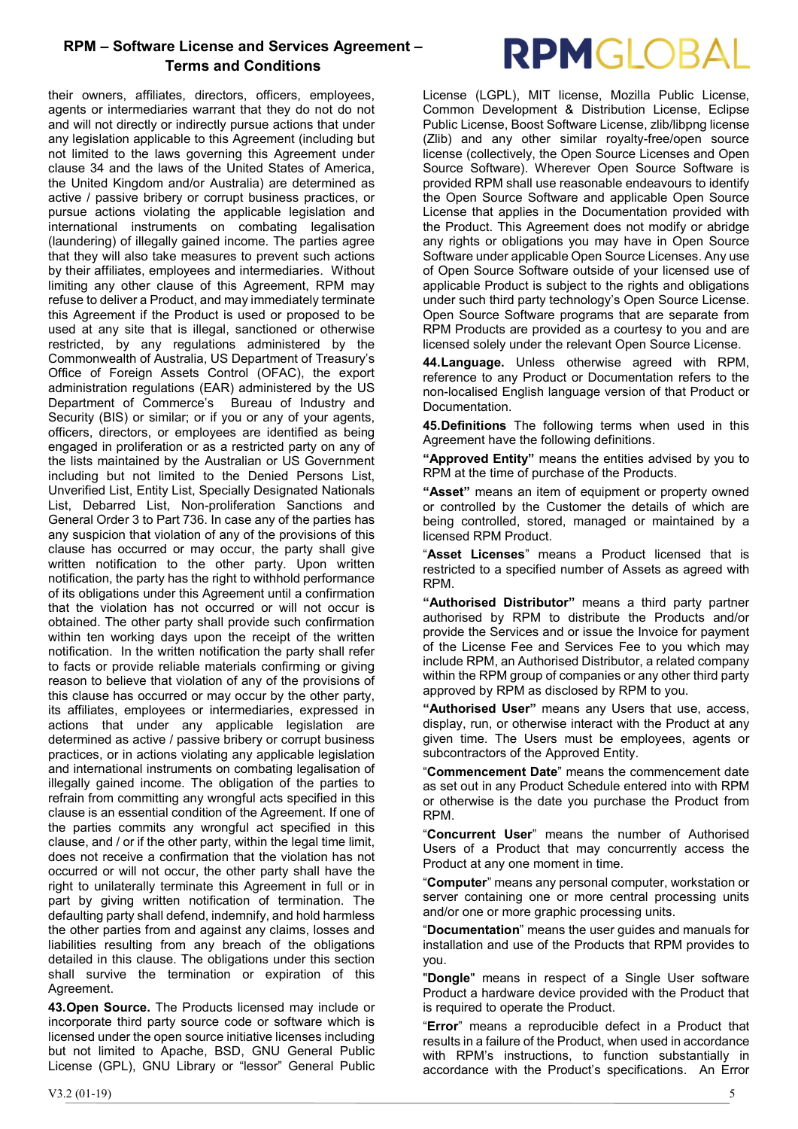their owners, affiliates, directors, officers, employees, agents or intermediaries warrant that they do not do not and will not directly or indirectly pursue actions that under any legislation applicable to this Agreement (including but not limited to the laws governing this Agreement under clause 34 and the laws of the United States of America, the United Kingdom and/or Australia) are determined as active / passive bribery or corrupt business practices, or pursue actions violating the applicable legislation and international instruments on combating legalisation (laundering) of illegally gained income. The parties agree that they will also take measures to prevent such actions by their affiliates, employees and intermediaries. Without limiting any other clause of this Agreement, RPM may refuse to deliver a Product, and may immediately terminate this Agreement if the Product is used or proposed to be used at any site that is illegal, sanctioned or otherwise restricted, by any regulations administered by the Commonwealth of Australia, US Department of Treasury's Office of Foreign Assets Control (OFAC), the export administration regulations (EAR) administered by the US Department of Commerce's Bureau of Industry and Security (BIS) or similar; or if you or any of your agents, officers, directors, or employees are identified as being engaged in proliferation or as a restricted party on any of the lists maintained by the Australian or US Government including but not limited to the Denied Persons List, Unverified List, Entity List, Specially Designated Nationals List, Debarred List, Non-proliferation Sanctions and General Order 3 to Part 736. In case any of the parties has any suspicion that violation of any of the provisions of this clause has occurred or may occur, the party shall give written notification to the other party. Upon written notification, the party has the right to withhold performance of its obligations under this Agreement until a confirmation that the violation has not occurred or will not occur is obtained. The other party shall provide such confirmation within ten working days upon the receipt of the written notification. In the written notification the party shall refer to facts or provide reliable materials confirming or giving reason to believe that violation of any of the provisions of this clause has occurred or may occur by the other party, its affiliates, employees or intermediaries, expressed in actions that under any applicable legislation are determined as active / passive bribery or corrupt business practices, or in actions violating any applicable legislation and international instruments on combating legalisation of illegally gained income. The obligation of the parties to refrain from committing any wrongful acts specified in this clause is an essential condition of the Agreement. If one of the parties commits any wrongful act specified in this clause, and / or if the other party, within the legal time limit, does not receive a confirmation that the violation has not occurred or will not occur, the other party shall have the right to unilaterally terminate this Agreement in full or in part by giving written notification of termination. The defaulting party shall defend, indemnify, and hold harmless the other parties from and against any claims, losses and liabilities resulting from any breach of the obligations detailed in this clause. The obligations under this section shall survive the termination or expiration of this Agreement.

43. Open Source. The Products licensed may include or incorporate third party source code or software which is licensed under the open source initiative licenses including but not limited to Apache, BSD, GNU General Public License (GPL), GNU Library or "lessor" General Public

# **RPMGLOBAL**

License (LGPL), MIT license, Mozilla Public License, Common Development & Distribution License, Eclipse Public License, Boost Software License, zlib/libpng license (Zlib) and any other similar royalty-free/open source license (collectively, the Open Source Licenses and Open Source Software). Wherever Open Source Software is provided RPM shall use reasonable endeavours to identify the Open Source Software and applicable Open Source License that applies in the Documentation provided with the Product. This Agreement does not modify or abridge any rights or obligations you may have in Open Source Software under applicable Open Source Licenses. Any use of Open Source Software outside of your licensed use of applicable Product is subject to the rights and obligations under such third party technology's Open Source License. Open Source Software programs that are separate from RPM Products are provided as a courtesy to you and are licensed solely under the relevant Open Source License.

44. Language. Unless otherwise agreed with RPM, reference to any Product or Documentation refers to the non-localised English language version of that Product or Documentation.

45. Definitions The following terms when used in this Agreement have the following definitions.

"Approved Entity" means the entities advised by you to RPM at the time of purchase of the Products.

"Asset" means an item of equipment or property owned or controlled by the Customer the details of which are being controlled, stored, managed or maintained by a licensed RPM Product.

"Asset Licenses" means a Product licensed that is restricted to a specified number of Assets as agreed with RPM.

"Authorised Distributor" means a third party partner authorised by RPM to distribute the Products and/or provide the Services and or issue the Invoice for payment of the License Fee and Services Fee to you which may include RPM, an Authorised Distributor, a related company within the RPM group of companies or any other third party approved by RPM as disclosed by RPM to you.

"Authorised User" means any Users that use, access, display, run, or otherwise interact with the Product at any given time. The Users must be employees, agents or subcontractors of the Approved Entity.

"Commencement Date" means the commencement date as set out in any Product Schedule entered into with RPM or otherwise is the date you purchase the Product from RPM.

"Concurrent User" means the number of Authorised Users of a Product that may concurrently access the Product at any one moment in time.

"Computer" means any personal computer, workstation or server containing one or more central processing units and/or one or more graphic processing units.

"Documentation" means the user guides and manuals for installation and use of the Products that RPM provides to you.

"Dongle" means in respect of a Single User software Product a hardware device provided with the Product that is required to operate the Product.

"Error" means a reproducible defect in a Product that results in a failure of the Product, when used in accordance with RPM's instructions, to function substantially in accordance with the Product's specifications. An Error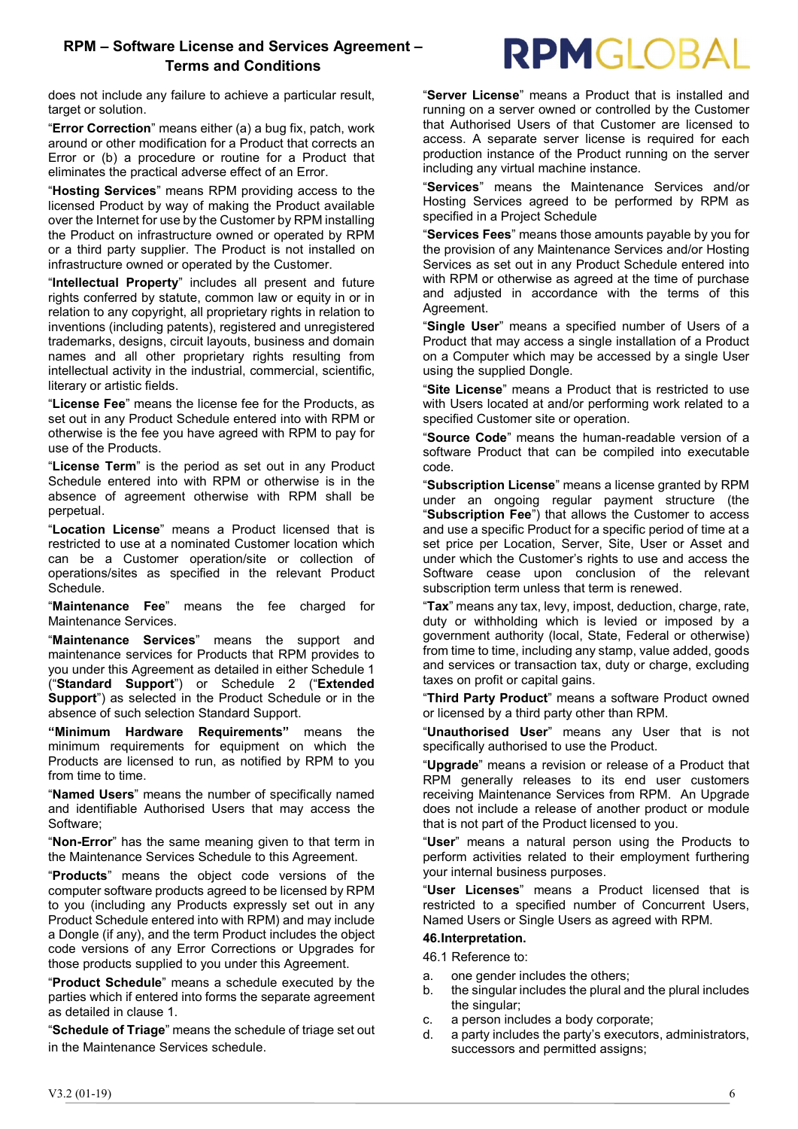RPMGLOBAL

does not include any failure to achieve a particular result, target or solution.

"Error Correction" means either (a) a bug fix, patch, work around or other modification for a Product that corrects an Error or (b) a procedure or routine for a Product that eliminates the practical adverse effect of an Error.

"Hosting Services" means RPM providing access to the licensed Product by way of making the Product available over the Internet for use by the Customer by RPM installing the Product on infrastructure owned or operated by RPM or a third party supplier. The Product is not installed on infrastructure owned or operated by the Customer.

"Intellectual Property" includes all present and future rights conferred by statute, common law or equity in or in relation to any copyright, all proprietary rights in relation to inventions (including patents), registered and unregistered trademarks, designs, circuit layouts, business and domain names and all other proprietary rights resulting from intellectual activity in the industrial, commercial, scientific, literary or artistic fields.

"License Fee" means the license fee for the Products, as set out in any Product Schedule entered into with RPM or otherwise is the fee you have agreed with RPM to pay for use of the Products.

"License Term" is the period as set out in any Product Schedule entered into with RPM or otherwise is in the absence of agreement otherwise with RPM shall be perpetual.

"Location License" means a Product licensed that is restricted to use at a nominated Customer location which can be a Customer operation/site or collection of operations/sites as specified in the relevant Product Schedule.

"Maintenance Fee" means the fee charged for Maintenance Services.

"Maintenance Services" means the support and maintenance services for Products that RPM provides to you under this Agreement as detailed in either Schedule 1 ("Standard Support") or Schedule 2 ("Extended Support") as selected in the Product Schedule or in the absence of such selection Standard Support.

"Minimum Hardware Requirements" means the minimum requirements for equipment on which the Products are licensed to run, as notified by RPM to you from time to time.

"Named Users" means the number of specifically named and identifiable Authorised Users that may access the Software;

"Non-Error" has the same meaning given to that term in the Maintenance Services Schedule to this Agreement.

"Products" means the object code versions of the computer software products agreed to be licensed by RPM to you (including any Products expressly set out in any Product Schedule entered into with RPM) and may include a Dongle (if any), and the term Product includes the object code versions of any Error Corrections or Upgrades for those products supplied to you under this Agreement.

"Product Schedule" means a schedule executed by the parties which if entered into forms the separate agreement as detailed in clause 1.

"Schedule of Triage" means the schedule of triage set out in the Maintenance Services schedule.

"Server License" means a Product that is installed and running on a server owned or controlled by the Customer that Authorised Users of that Customer are licensed to access. A separate server license is required for each production instance of the Product running on the server including any virtual machine instance.

"Services" means the Maintenance Services and/or Hosting Services agreed to be performed by RPM as specified in a Project Schedule

"Services Fees" means those amounts payable by you for the provision of any Maintenance Services and/or Hosting Services as set out in any Product Schedule entered into with RPM or otherwise as agreed at the time of purchase and adjusted in accordance with the terms of this Agreement.

"Single User" means a specified number of Users of a Product that may access a single installation of a Product on a Computer which may be accessed by a single User using the supplied Dongle.

"Site License" means a Product that is restricted to use with Users located at and/or performing work related to a specified Customer site or operation.

"Source Code" means the human-readable version of a software Product that can be compiled into executable code.

"Subscription License" means a license granted by RPM under an ongoing regular payment structure (the "Subscription Fee") that allows the Customer to access and use a specific Product for a specific period of time at a set price per Location, Server, Site, User or Asset and under which the Customer's rights to use and access the Software cease upon conclusion of the relevant subscription term unless that term is renewed.

"Tax" means any tax, levy, impost, deduction, charge, rate, duty or withholding which is levied or imposed by a government authority (local, State, Federal or otherwise) from time to time, including any stamp, value added, goods and services or transaction tax, duty or charge, excluding taxes on profit or capital gains.

"Third Party Product" means a software Product owned or licensed by a third party other than RPM.

"Unauthorised User" means any User that is not specifically authorised to use the Product.

"Upgrade" means a revision or release of a Product that RPM generally releases to its end user customers receiving Maintenance Services from RPM. An Upgrade does not include a release of another product or module that is not part of the Product licensed to you.

"User" means a natural person using the Products to perform activities related to their employment furthering your internal business purposes.

"User Licenses" means a Product licensed that is restricted to a specified number of Concurrent Users, Named Users or Single Users as agreed with RPM.

#### 46. Interpretation.

46.1 Reference to:

- a. one gender includes the others;
- b. the singular includes the plural and the plural includes the singular;
- c. a person includes a body corporate;
- d. a party includes the party's executors, administrators, successors and permitted assigns;